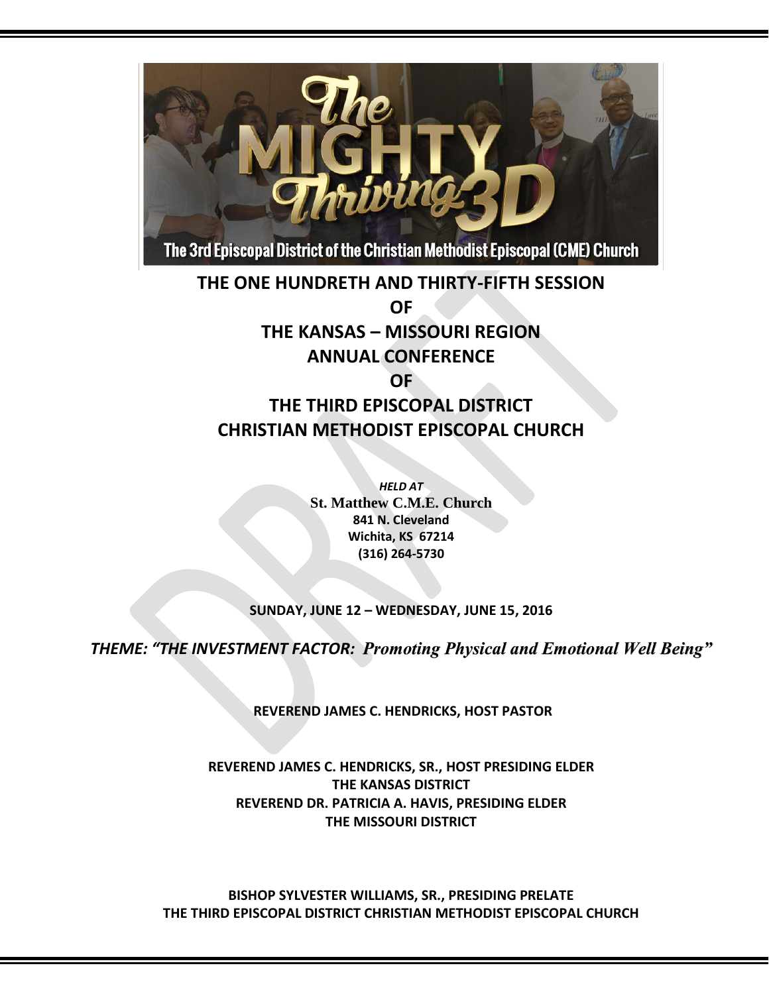

**THE ONE HUNDRETH AND THIRTY-FIFTH SESSION OF THE KANSAS – MISSOURI REGION ANNUAL CONFERENCE OF** 

### **THE THIRD EPISCOPAL DISTRICT CHRISTIAN METHODIST EPISCOPAL CHURCH**

*HELD AT* **St. Matthew C.M.E. Church 841 N. Cleveland Wichita, KS 67214 (316) 264-5730**

### **SUNDAY, JUNE 12 – WEDNESDAY, JUNE 15, 2016**

*THEME: "THE INVESTMENT FACTOR: Promoting Physical and Emotional Well Being"*

**REVEREND JAMES C. HENDRICKS, HOST PASTOR**

**REVEREND JAMES C. HENDRICKS, SR., HOST PRESIDING ELDER THE KANSAS DISTRICT REVEREND DR. PATRICIA A. HAVIS, PRESIDING ELDER THE MISSOURI DISTRICT**

**BISHOP SYLVESTER WILLIAMS, SR., PRESIDING PRELATE THE THIRD EPISCOPAL DISTRICT CHRISTIAN METHODIST EPISCOPAL CHURCH**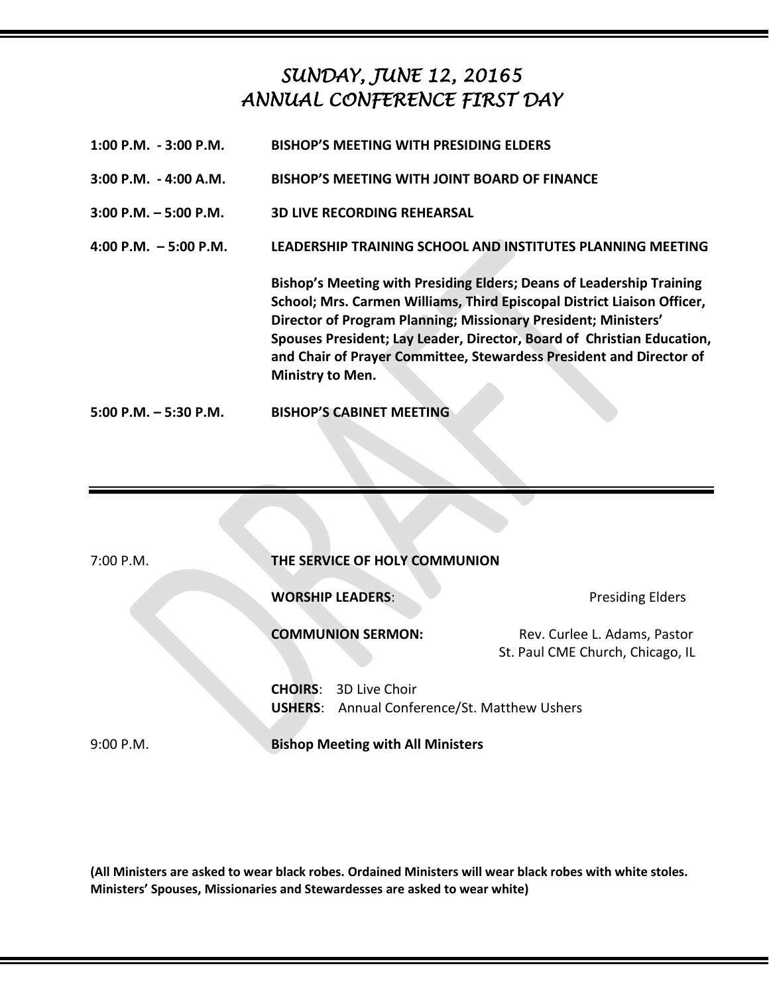# *SUNDAY, JUNE 12, 20165 ANNUAL CONFERENCE FIRST DAY*

| $1:00$ P.M. $-3:00$ P.M. | <b>BISHOP'S MEETING WITH PRESIDING ELDERS</b>                                                                                                                                                                                                                                                                                                                                          |
|--------------------------|----------------------------------------------------------------------------------------------------------------------------------------------------------------------------------------------------------------------------------------------------------------------------------------------------------------------------------------------------------------------------------------|
| $3:00$ P.M. $-4:00$ A.M. | BISHOP'S MEETING WITH JOINT BOARD OF FINANCE                                                                                                                                                                                                                                                                                                                                           |
| $3:00$ P.M. $-5:00$ P.M. | <b>3D LIVE RECORDING REHEARSAL</b>                                                                                                                                                                                                                                                                                                                                                     |
| 4:00 P.M. $-5:00$ P.M.   | LEADERSHIP TRAINING SCHOOL AND INSTITUTES PLANNING MEETING                                                                                                                                                                                                                                                                                                                             |
|                          | Bishop's Meeting with Presiding Elders; Deans of Leadership Training<br>School; Mrs. Carmen Williams, Third Episcopal District Liaison Officer,<br>Director of Program Planning; Missionary President; Ministers'<br>Spouses President; Lay Leader, Director, Board of Christian Education,<br>and Chair of Prayer Committee, Stewardess President and Director of<br>Ministry to Men. |
| $5:00$ P.M. $-5:30$ P.M. | <b>BISHOP'S CABINET MEETING</b>                                                                                                                                                                                                                                                                                                                                                        |

| 7:00 P.M.   | THE SERVICE OF HOLY COMMUNION |                                                                                     |                                                                  |
|-------------|-------------------------------|-------------------------------------------------------------------------------------|------------------------------------------------------------------|
|             |                               |                                                                                     |                                                                  |
|             | <b>WORSHIP LEADERS:</b>       |                                                                                     | <b>Presiding Elders</b>                                          |
|             |                               | <b>COMMUNION SERMON:</b>                                                            | Rev. Curlee L. Adams, Pastor<br>St. Paul CME Church, Chicago, IL |
|             |                               | <b>CHOIRS: 3D Live Choir</b><br><b>USHERS:</b> Annual Conference/St. Matthew Ushers |                                                                  |
| $9:00$ P.M. |                               | <b>Bishop Meeting with All Ministers</b>                                            |                                                                  |

**(All Ministers are asked to wear black robes. Ordained Ministers will wear black robes with white stoles. Ministers' Spouses, Missionaries and Stewardesses are asked to wear white)**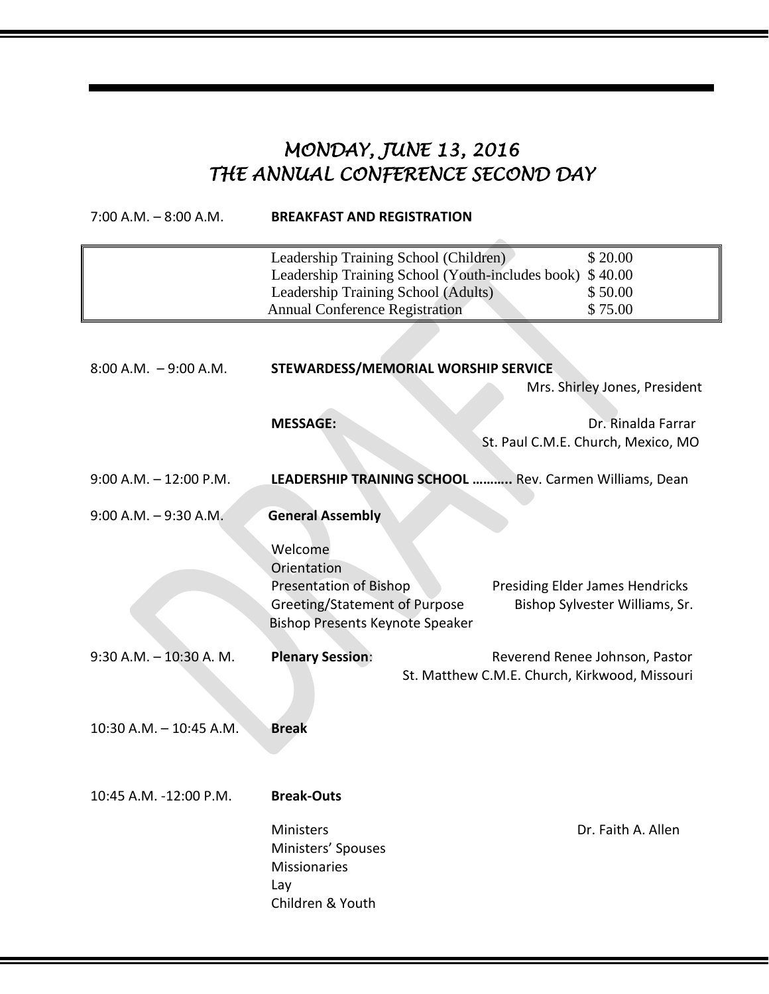# *MONDAY, JUNE 13, 2016 THE ANNUAL CONFERENCE SECOND DAY*

| $7:00$ A.M. $-8:00$ A.M.  | <b>BREAKFAST AND REGISTRATION</b>                                                                                                                                         |                                                                                 |  |
|---------------------------|---------------------------------------------------------------------------------------------------------------------------------------------------------------------------|---------------------------------------------------------------------------------|--|
|                           | Leadership Training School (Children)<br>Leadership Training School (Youth-includes book)<br>Leadership Training School (Adults)<br><b>Annual Conference Registration</b> | \$20.00<br>\$40.00<br>\$50.00<br>\$75.00                                        |  |
| $8:00$ A.M. $-9:00$ A.M.  | STEWARDESS/MEMORIAL WORSHIP SERVICE<br>Mrs. Shirley Jones, President                                                                                                      |                                                                                 |  |
|                           | <b>MESSAGE:</b>                                                                                                                                                           | Dr. Rinalda Farrar<br>St. Paul C.M.E. Church, Mexico, MO                        |  |
| $9:00$ A.M. $-12:00$ P.M. | LEADERSHIP TRAINING SCHOOL  Rev. Carmen Williams, Dean                                                                                                                    |                                                                                 |  |
| $9:00$ A.M. $-9:30$ A.M.  | <b>General Assembly</b>                                                                                                                                                   |                                                                                 |  |
|                           | Welcome<br>Orientation<br><b>Presentation of Bishop</b><br><b>Greeting/Statement of Purpose</b><br>Bishop Presents Keynote Speaker                                        | <b>Presiding Elder James Hendricks</b><br>Bishop Sylvester Williams, Sr.        |  |
| $9:30$ A.M. $-10:30$ A.M. | <b>Plenary Session:</b>                                                                                                                                                   | Reverend Renee Johnson, Pastor<br>St. Matthew C.M.E. Church, Kirkwood, Missouri |  |
| 10:30 A.M. - 10:45 A.M.   | <b>Break</b>                                                                                                                                                              |                                                                                 |  |
| 10:45 A.M. -12:00 P.M.    | <b>Break-Outs</b>                                                                                                                                                         |                                                                                 |  |
|                           | Ministers<br>Ministers' Spouses<br><b>Missionaries</b><br>Lay<br>Children & Youth                                                                                         | Dr. Faith A. Allen                                                              |  |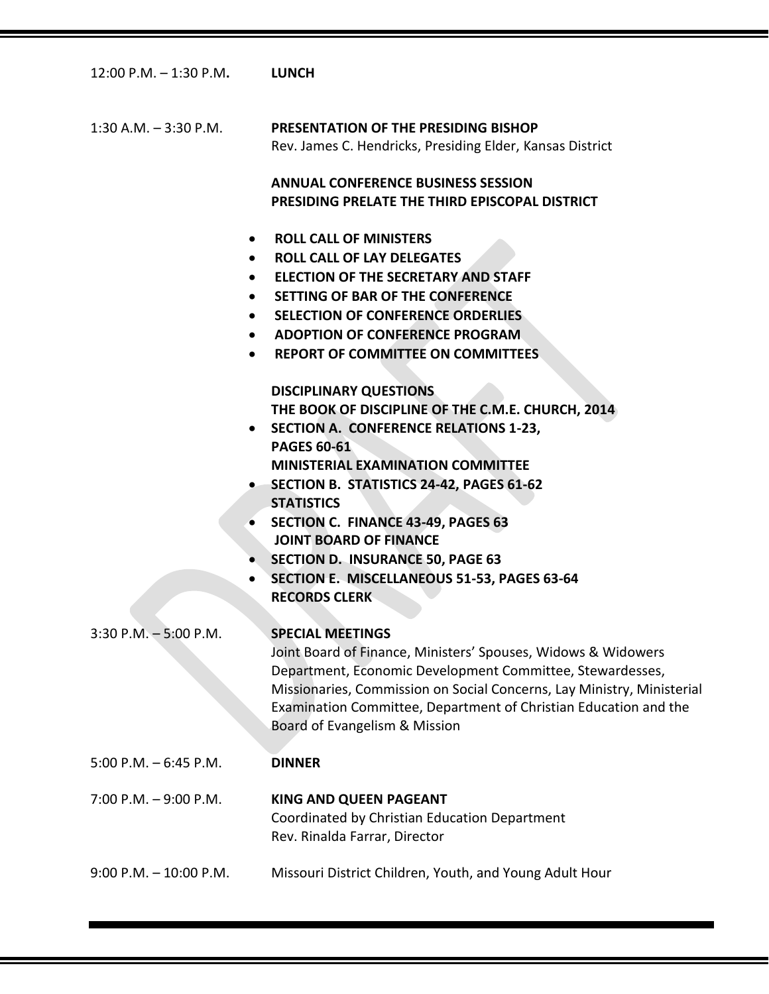12:00 P.M. – 1:30 P.M**. LUNCH**

1:30 A.M. – 3:30 P.M. **PRESENTATION OF THE PRESIDING BISHOP** Rev. James C. Hendricks, Presiding Elder, Kansas District

> **ANNUAL CONFERENCE BUSINESS SESSION PRESIDING PRELATE THE THIRD EPISCOPAL DISTRICT**

- **ROLL CALL OF MINISTERS**
- **ROLL CALL OF LAY DELEGATES**
- **ELECTION OF THE SECRETARY AND STAFF**
- **SETTING OF BAR OF THE CONFERENCE**
- **SELECTION OF CONFERENCE ORDERLIES**
- **ADOPTION OF CONFERENCE PROGRAM**
- **REPORT OF COMMITTEE ON COMMITTEES**

**DISCIPLINARY QUESTIONS**

**THE BOOK OF DISCIPLINE OF THE C.M.E. CHURCH, 2014**

- **SECTION A. CONFERENCE RELATIONS 1-23, PAGES 60-61 MINISTERIAL EXAMINATION COMMITTEE**
- **SECTION B. STATISTICS 24-42, PAGES 61-62 STATISTICS**
- **SECTION C. FINANCE 43-49, PAGES 63 JOINT BOARD OF FINANCE**
- **SECTION D. INSURANCE 50, PAGE 63**
- **SECTION E. MISCELLANEOUS 51-53, PAGES 63-64 RECORDS CLERK**

3:30 P.M. – 5:00 P.M. **SPECIAL MEETINGS**

Joint Board of Finance, Ministers' Spouses, Widows & Widowers Department, Economic Development Committee, Stewardesses, Missionaries, Commission on Social Concerns, Lay Ministry, Ministerial Examination Committee, Department of Christian Education and the Board of Evangelism & Mission

5:00 P.M. – 6:45 P.M. **DINNER**

### 7:00 P.M. – 9:00 P.M. **KING AND QUEEN PAGEANT** Coordinated by Christian Education Department Rev. Rinalda Farrar, Director

9:00 P.M. – 10:00 P.M. Missouri District Children, Youth, and Young Adult Hour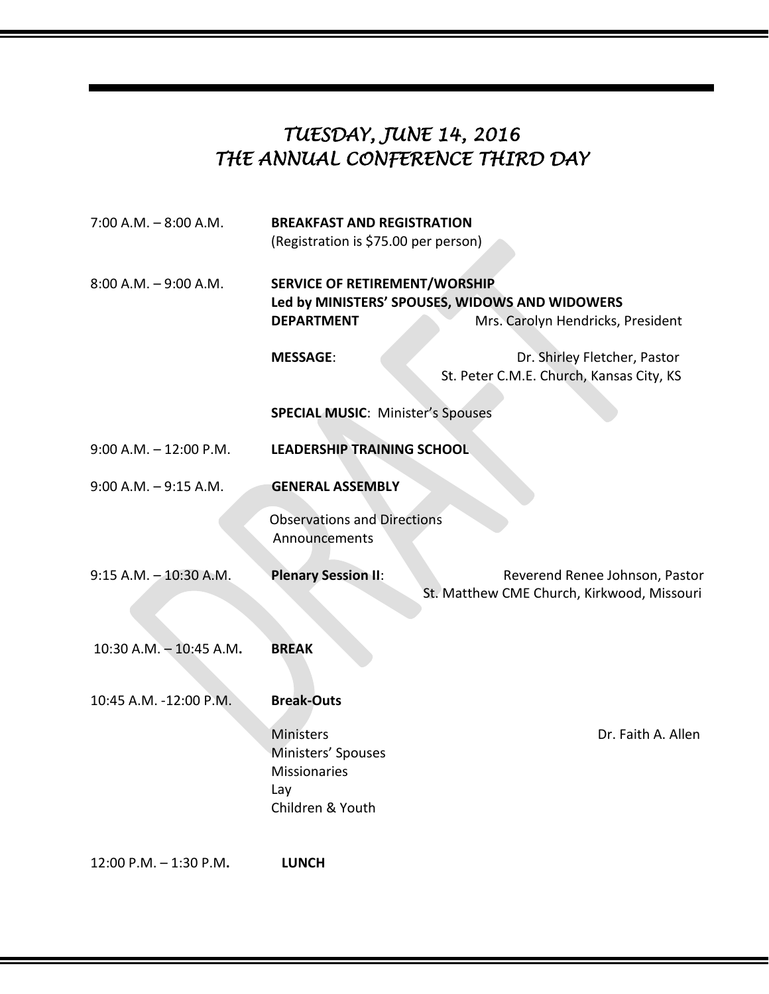# *TUESDAY, JUNE 14, 2016 THE ANNUAL CONFERENCE THIRD DAY*

| $7:00$ A.M. $-8:00$ A.M.  | <b>BREAKFAST AND REGISTRATION</b><br>(Registration is \$75.00 per person)                                                                        |                                                                              |  |
|---------------------------|--------------------------------------------------------------------------------------------------------------------------------------------------|------------------------------------------------------------------------------|--|
| $8:00$ A.M. $-9:00$ A.M.  | <b>SERVICE OF RETIREMENT/WORSHIP</b><br>Led by MINISTERS' SPOUSES, WIDOWS AND WIDOWERS<br><b>DEPARTMENT</b><br>Mrs. Carolyn Hendricks, President |                                                                              |  |
|                           | <b>MESSAGE:</b>                                                                                                                                  | Dr. Shirley Fletcher, Pastor<br>St. Peter C.M.E. Church, Kansas City, KS     |  |
|                           | <b>SPECIAL MUSIC: Minister's Spouses</b>                                                                                                         |                                                                              |  |
| $9:00$ A.M. $-12:00$ P.M. | <b>LEADERSHIP TRAINING SCHOOL</b>                                                                                                                |                                                                              |  |
| $9:00$ A.M. $-9:15$ A.M.  | <b>GENERAL ASSEMBLY</b>                                                                                                                          |                                                                              |  |
|                           | <b>Observations and Directions</b><br>Announcements                                                                                              |                                                                              |  |
| $9:15$ A.M. $-10:30$ A.M. | <b>Plenary Session II:</b>                                                                                                                       | Reverend Renee Johnson, Pastor<br>St. Matthew CME Church, Kirkwood, Missouri |  |
| 10:30 A.M. - 10:45 A.M.   | <b>BREAK</b>                                                                                                                                     |                                                                              |  |
| 10:45 A.M. -12:00 P.M.    | <b>Break-Outs</b>                                                                                                                                |                                                                              |  |
|                           | <b>Ministers</b><br>Ministers' Spouses<br><b>Missionaries</b><br>Lay<br>Children & Youth                                                         | Dr. Faith A. Allen                                                           |  |
| 12:00 P.M. - 1:30 P.M.    | <b>LUNCH</b>                                                                                                                                     |                                                                              |  |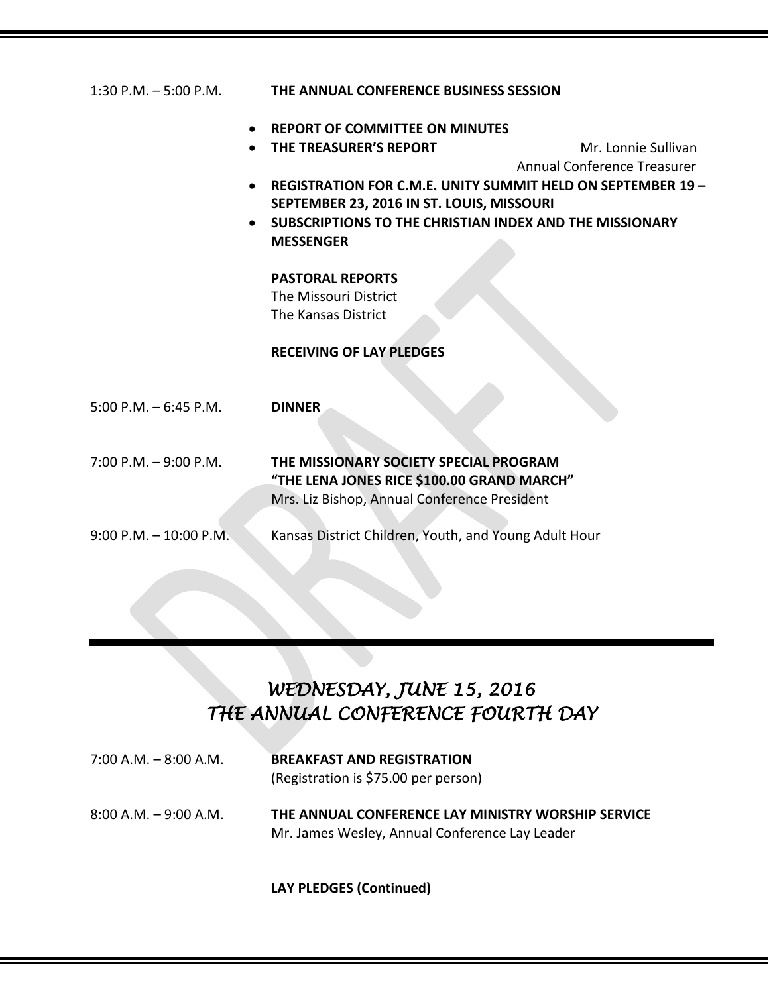| 1.30 F.IVI. – 3.UU F.IVI. | THE ANNUAL CONFERENCE DOSINESS SESSION                                                     |                                    |  |
|---------------------------|--------------------------------------------------------------------------------------------|------------------------------------|--|
|                           | <b>REPORT OF COMMITTEE ON MINUTES</b>                                                      |                                    |  |
|                           | THE TREASURER'S REPORT                                                                     | Mr. Lonnie Sullivan                |  |
|                           |                                                                                            | <b>Annual Conference Treasurer</b> |  |
|                           | REGISTRATION FOR C.M.E. UNITY SUMMIT HELD ON SEPTEMBER 19 -                                |                                    |  |
|                           | SEPTEMBER 23, 2016 IN ST. LOUIS, MISSOURI                                                  |                                    |  |
|                           | <b>SUBSCRIPTIONS TO THE CHRISTIAN INDEX AND THE MISSIONARY</b>                             |                                    |  |
|                           | <b>MESSENGER</b>                                                                           |                                    |  |
|                           |                                                                                            |                                    |  |
|                           | <b>PASTORAL REPORTS</b>                                                                    |                                    |  |
|                           | The Missouri District                                                                      |                                    |  |
|                           | The Kansas District                                                                        |                                    |  |
|                           | <b>RECEIVING OF LAY PLEDGES</b>                                                            |                                    |  |
|                           |                                                                                            |                                    |  |
|                           |                                                                                            |                                    |  |
| $5:00$ P.M. $-6:45$ P.M.  | <b>DINNER</b>                                                                              |                                    |  |
|                           |                                                                                            |                                    |  |
| $7:00$ P.M. $-9:00$ P.M.  |                                                                                            |                                    |  |
|                           | THE MISSIONARY SOCIETY SPECIAL PROGRAM                                                     |                                    |  |
|                           | "THE LENA JONES RICE \$100.00 GRAND MARCH"<br>Mrs. Liz Bishop, Annual Conference President |                                    |  |
|                           |                                                                                            |                                    |  |
| $9:00$ P.M. $-10:00$ P.M. | Kansas District Children, Youth, and Young Adult Hour                                      |                                    |  |
|                           |                                                                                            |                                    |  |

1:30 P.M. – 5:00 P.M. **THE ANNUAL CONFERENCE BUSINESS SESSION**

# *WEDNESDAY, JUNE 15, 2016 THE ANNUAL CONFERENCE FOURTH DAY*

| $7:00$ A.M. $-8:00$ A.M. | <b>BREAKFAST AND REGISTRATION</b><br>(Registration is \$75.00 per person)                            |
|--------------------------|------------------------------------------------------------------------------------------------------|
| $8:00$ A.M. $-9:00$ A.M. | THE ANNUAL CONFERENCE LAY MINISTRY WORSHIP SERVICE<br>Mr. James Wesley, Annual Conference Lay Leader |

**LAY PLEDGES (Continued)**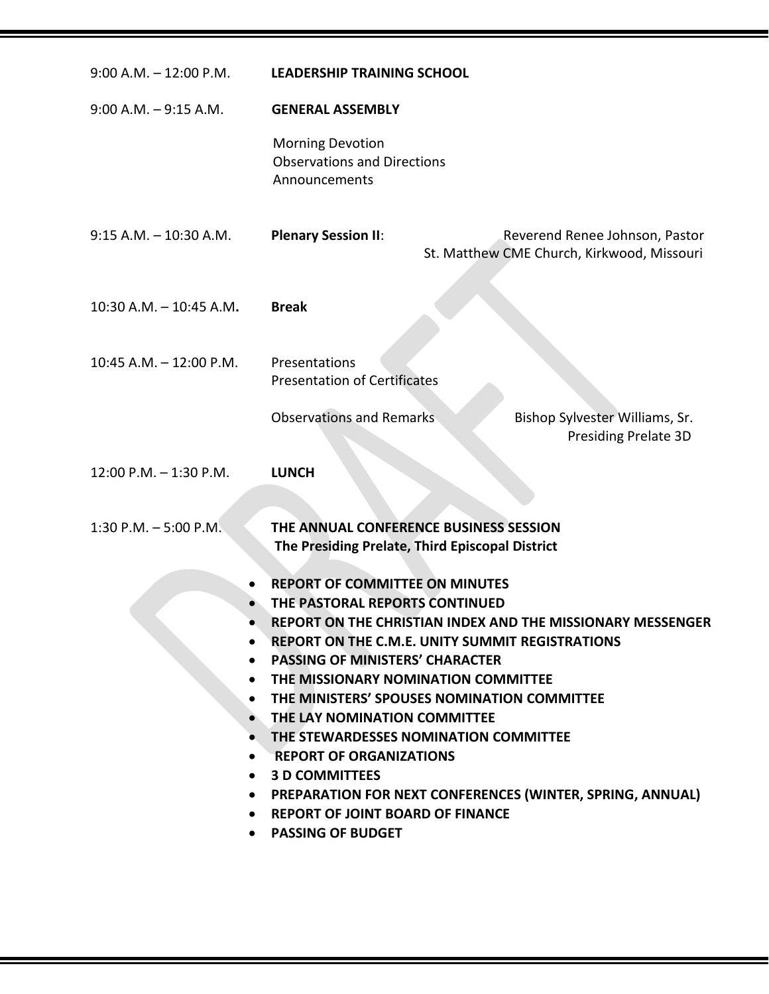| $9:00$ A.M. $-12:00$ P.M.                                                  | <b>LEADERSHIP TRAINING SCHOOL</b>                                                                                                                                                                                                                                                                                                                                                                                                                                                                                                                                                                                     |  |                                                                              |
|----------------------------------------------------------------------------|-----------------------------------------------------------------------------------------------------------------------------------------------------------------------------------------------------------------------------------------------------------------------------------------------------------------------------------------------------------------------------------------------------------------------------------------------------------------------------------------------------------------------------------------------------------------------------------------------------------------------|--|------------------------------------------------------------------------------|
| $9:00$ A.M. $-9:15$ A.M.                                                   | <b>GENERAL ASSEMBLY</b>                                                                                                                                                                                                                                                                                                                                                                                                                                                                                                                                                                                               |  |                                                                              |
|                                                                            | <b>Morning Devotion</b><br><b>Observations and Directions</b><br>Announcements                                                                                                                                                                                                                                                                                                                                                                                                                                                                                                                                        |  |                                                                              |
| $9:15$ A.M. $-10:30$ A.M.                                                  | <b>Plenary Session II:</b>                                                                                                                                                                                                                                                                                                                                                                                                                                                                                                                                                                                            |  | Reverend Renee Johnson, Pastor<br>St. Matthew CME Church, Kirkwood, Missouri |
| $10:30$ A.M. $- 10:45$ A.M.                                                | <b>Break</b>                                                                                                                                                                                                                                                                                                                                                                                                                                                                                                                                                                                                          |  |                                                                              |
| 10:45 A.M. - 12:00 P.M.                                                    | Presentations<br><b>Presentation of Certificates</b>                                                                                                                                                                                                                                                                                                                                                                                                                                                                                                                                                                  |  |                                                                              |
|                                                                            | <b>Observations and Remarks</b>                                                                                                                                                                                                                                                                                                                                                                                                                                                                                                                                                                                       |  | Bishop Sylvester Williams, Sr.<br><b>Presiding Prelate 3D</b>                |
| $12:00$ P.M. $-1:30$ P.M.                                                  | <b>LUNCH</b>                                                                                                                                                                                                                                                                                                                                                                                                                                                                                                                                                                                                          |  |                                                                              |
| $1:30$ P.M. $-5:00$ P.M.                                                   | THE ANNUAL CONFERENCE BUSINESS SESSION<br>The Presiding Prelate, Third Episcopal District                                                                                                                                                                                                                                                                                                                                                                                                                                                                                                                             |  |                                                                              |
| $\bullet$<br>$\bullet$<br>$\bullet$<br>$\bullet$<br>$\bullet$<br>$\bullet$ | <b>REPORT OF COMMITTEE ON MINUTES</b><br>THE PASTORAL REPORTS CONTINUED<br><b>REPORT ON THE CHRISTIAN INDEX AND THE MISSIONARY MESSENGER</b><br><b>REPORT ON THE C.M.E. UNITY SUMMIT REGISTRATIONS</b><br><b>PASSING OF MINISTERS' CHARACTER</b><br>THE MISSIONARY NOMINATION COMMITTEE<br>THE MINISTERS' SPOUSES NOMINATION COMMITTEE<br>THE LAY NOMINATION COMMITTEE<br>THE STEWARDESSES NOMINATION COMMITTEE<br><b>REPORT OF ORGANIZATIONS</b><br><b>3 D COMMITTEES</b><br><b>PREPARATION FOR NEXT CONFERENCES (WINTER, SPRING, ANNUAL)</b><br><b>REPORT OF JOINT BOARD OF FINANCE</b><br><b>PASSING OF BUDGET</b> |  |                                                                              |

<u> 1989 - Andrea Brasilia a Carlo Brasilia a Carlo Brasilia a Carlo Brasilia a Carlo Brasilia a Carlo Brasilia</u>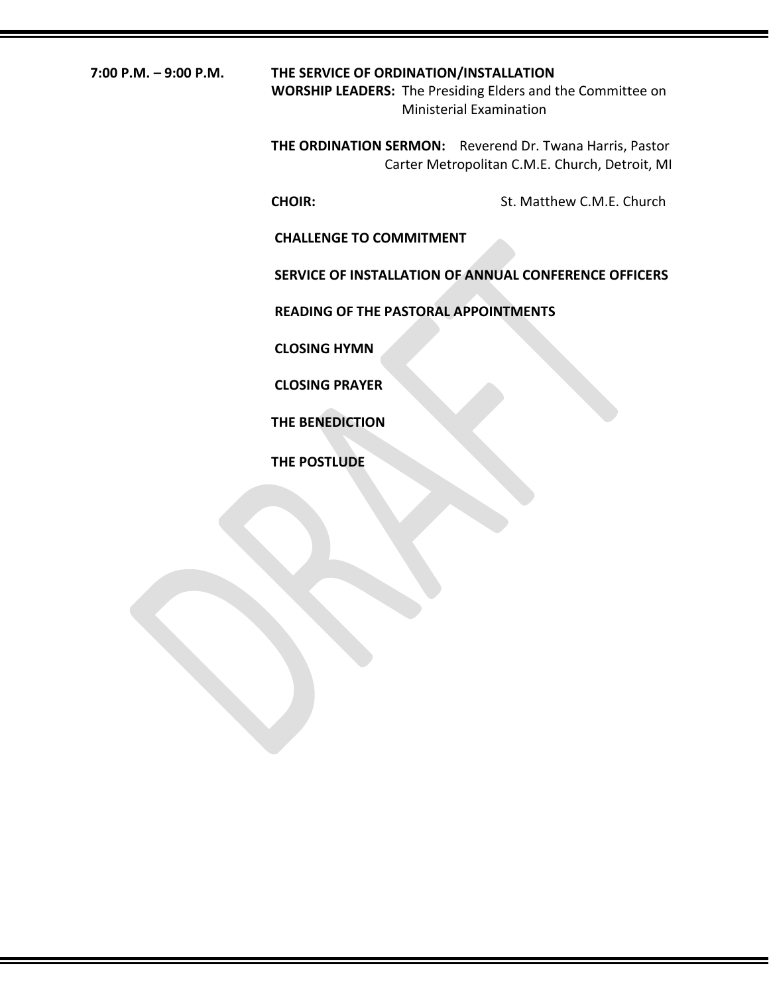### **7:00 P.M. – 9:00 P.M. THE SERVICE OF ORDINATION/INSTALLATION**

**WORSHIP LEADERS:** The Presiding Elders and the Committee on Ministerial Examination

**THE ORDINATION SERMON:** Reverend Dr. Twana Harris, Pastor Carter Metropolitan C.M.E. Church, Detroit, MI

**CHOIR:** St. Matthew C.M.E. Church

**CHALLENGE TO COMMITMENT**

**SERVICE OF INSTALLATION OF ANNUAL CONFERENCE OFFICERS**

**READING OF THE PASTORAL APPOINTMENTS**

**CLOSING HYMN**

**CLOSING PRAYER**

**THE BENEDICTION**

**THE POSTLUDE**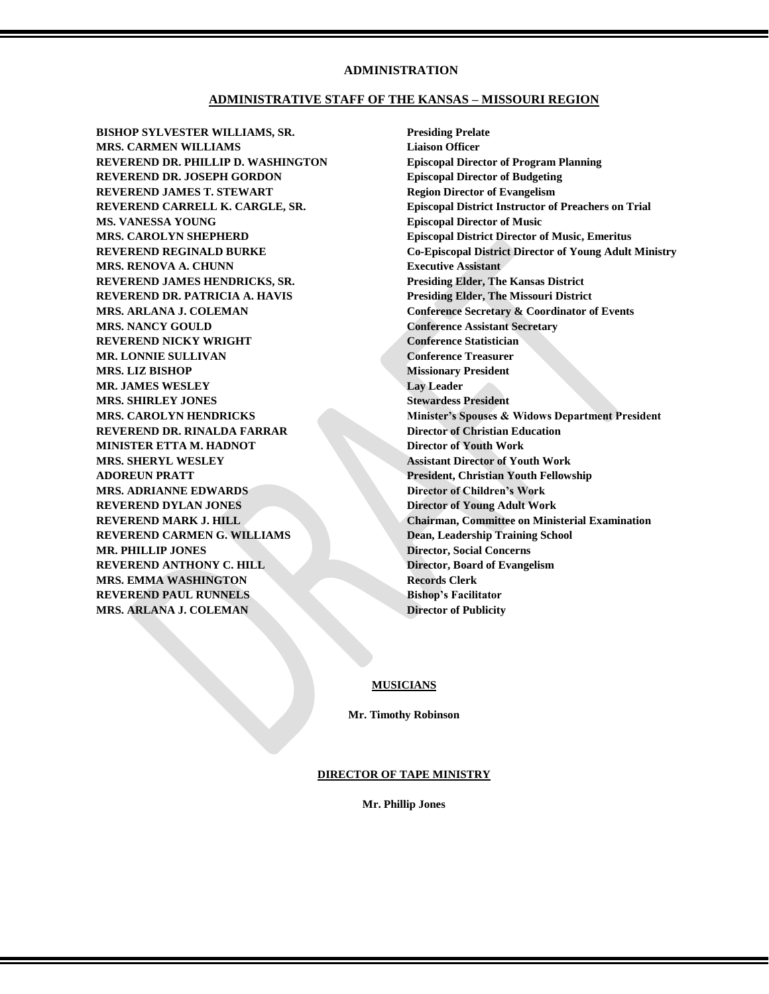#### **ADMINISTRATION**

#### **ADMINISTRATIVE STAFF OF THE KANSAS – MISSOURI REGION**

**BISHOP SYLVESTER WILLIAMS, SR. Presiding Prelate MRS. CARMEN WILLIAMS Liaison Officer REVEREND DR. PHILLIP D. WASHINGTON Episcopal Director of Program Planning REVEREND DR. JOSEPH GORDON Episcopal Director of Budgeting REVEREND JAMES T. STEWART Region Director of Evangelism MS. VANESSA YOUNG Episcopal Director of Music MRS. RENOVA A. CHUNN Executive Assistant REVEREND JAMES HENDRICKS, SR. Presiding Elder, The Kansas District REVEREND DR. PATRICIA A. HAVIS Presiding Elder, The Missouri District MRS. NANCY GOULD Conference Assistant Secretary REVEREND NICKY WRIGHT Conference Statistician MR. LONNIE SULLIVAN Conference Treasurer MRS. LIZ BISHOP Missionary President MR. JAMES WESLEY Lay Leader MRS. SHIRLEY JONES Stewardess President REVEREND DR. RINALDA FARRAR Director of Christian Education MINISTER ETTA M. HADNOT Director of Youth Work MRS. SHERYL WESLEY Assistant Director of Youth Work ADOREUN PRATT President, Christian Youth Fellowship MRS. ADRIANNE EDWARDS Director of Children's Work REVEREND DYLAN JONES Director of Young Adult Work REVEREND CARMEN G. WILLIAMS Dean, Leadership Training School MR. PHILLIP JONES Director, Social Concerns REVEREND ANTHONY C. HILL Director, Board of Evangelism MRS. EMMA WASHINGTON Records Clerk REVEREND PAUL RUNNELS Bishop's Facilitator MRS. ARLANA J. COLEMAN Director of Publicity** 

**REVEREND CARRELL K. CARGLE, SR. Episcopal District Instructor of Preachers on Trial MRS. CAROLYN SHEPHERD Episcopal District Director of Music, Emeritus REVEREND REGINALD BURKE Co-Episcopal District Director of Young Adult Ministry MRS. ARLANA J. COLEMAN COLEMAN Conference Secretary & Coordinator of Events MRS. CAROLYN HENDRICKS Minister's Spouses & Widows Department President REVEREND MARK J. HILL Chairman, Committee on Ministerial Examination** 

#### **MUSICIANS**

**Mr. Timothy Robinson**

#### **DIRECTOR OF TAPE MINISTRY**

**Mr. Phillip Jones**